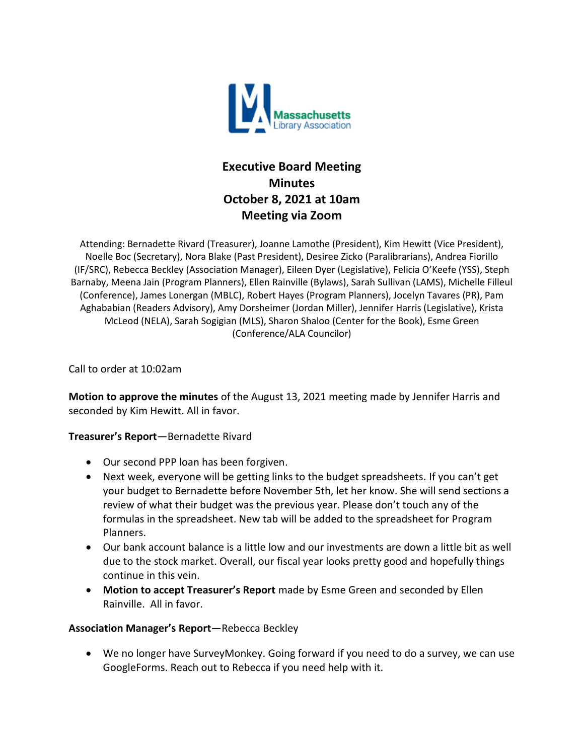

# **Executive Board Meeting Minutes October 8, 2021 at 10am Meeting via Zoom**

Attending: Bernadette Rivard (Treasurer), Joanne Lamothe (President), Kim Hewitt (Vice President), Noelle Boc (Secretary), Nora Blake (Past President), Desiree Zicko (Paralibrarians), Andrea Fiorillo (IF/SRC), Rebecca Beckley (Association Manager), Eileen Dyer (Legislative), Felicia O'Keefe (YSS), Steph Barnaby, Meena Jain (Program Planners), Ellen Rainville (Bylaws), Sarah Sullivan (LAMS), Michelle Filleul (Conference), James Lonergan (MBLC), Robert Hayes (Program Planners), Jocelyn Tavares (PR), Pam Aghababian (Readers Advisory), Amy Dorsheimer (Jordan Miller), Jennifer Harris (Legislative), Krista McLeod (NELA), Sarah Sogigian (MLS), Sharon Shaloo (Center for the Book), Esme Green (Conference/ALA Councilor)

Call to order at 10:02am

**Motion to approve the minutes** of the August 13, 2021 meeting made by Jennifer Harris and seconded by Kim Hewitt. All in favor.

# **Treasurer's Report**—Bernadette Rivard

- Our second PPP loan has been forgiven.
- Next week, everyone will be getting links to the budget spreadsheets. If you can't get your budget to Bernadette before November 5th, let her know. She will send sections a review of what their budget was the previous year. Please don't touch any of the formulas in the spreadsheet. New tab will be added to the spreadsheet for Program Planners.
- Our bank account balance is a little low and our investments are down a little bit as well due to the stock market. Overall, our fiscal year looks pretty good and hopefully things continue in this vein.
- **Motion to accept Treasurer's Report** made by Esme Green and seconded by Ellen Rainville. All in favor.

#### **Association Manager's Report**—Rebecca Beckley

• We no longer have SurveyMonkey. Going forward if you need to do a survey, we can use GoogleForms. Reach out to Rebecca if you need help with it.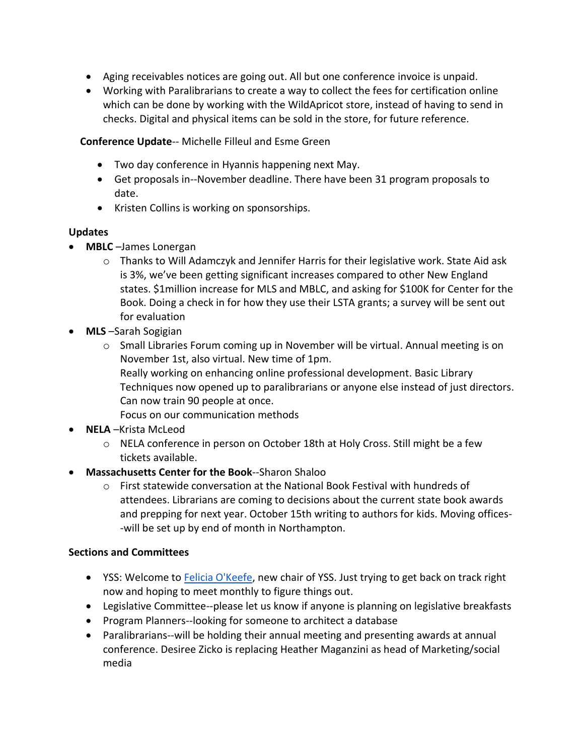- Aging receivables notices are going out. All but one conference invoice is unpaid.
- Working with Paralibrarians to create a way to collect the fees for certification online which can be done by working with the WildApricot store, instead of having to send in checks. Digital and physical items can be sold in the store, for future reference.

**Conference Update**-- Michelle Filleul and Esme Green

- Two day conference in Hyannis happening next May.
- Get proposals in--November deadline. There have been 31 program proposals to date.
- Kristen Collins is working on sponsorships.

# **Updates**

- **MBLC** –James Lonergan
	- $\circ$  Thanks to Will Adamczyk and Jennifer Harris for their legislative work. State Aid ask is 3%, we've been getting significant increases compared to other New England states. \$1million increase for MLS and MBLC, and asking for \$100K for Center for the Book. Doing a check in for how they use their LSTA grants; a survey will be sent out for evaluation
- **MLS** –Sarah Sogigian
	- o Small Libraries Forum coming up in November will be virtual. Annual meeting is on November 1st, also virtual. New time of 1pm. Really working on enhancing online professional development. Basic Library
		- Techniques now opened up to paralibrarians or anyone else instead of just directors. Can now train 90 people at once.
		- Focus on our communication methods
- **NELA** –Krista McLeod
	- o NELA conference in person on October 18th at Holy Cross. Still might be a few tickets available.
- **Massachusetts Center for the Book**--Sharon Shaloo
	- $\circ$  First statewide conversation at the National Book Festival with hundreds of attendees. Librarians are coming to decisions about the current state book awards and prepping for next year. October 15th writing to authors for kids. Moving offices- -will be set up by end of month in Northampton.

# **Sections and Committees**

- YSS: Welcome to [Felicia O'Keefe,](mailto:fokeefe@minlib.net) new chair of YSS. Just trying to get back on track right now and hoping to meet monthly to figure things out.
- Legislative Committee--please let us know if anyone is planning on legislative breakfasts
- Program Planners--looking for someone to architect a database
- Paralibrarians--will be holding their annual meeting and presenting awards at annual conference. Desiree Zicko is replacing Heather Maganzini as head of Marketing/social media